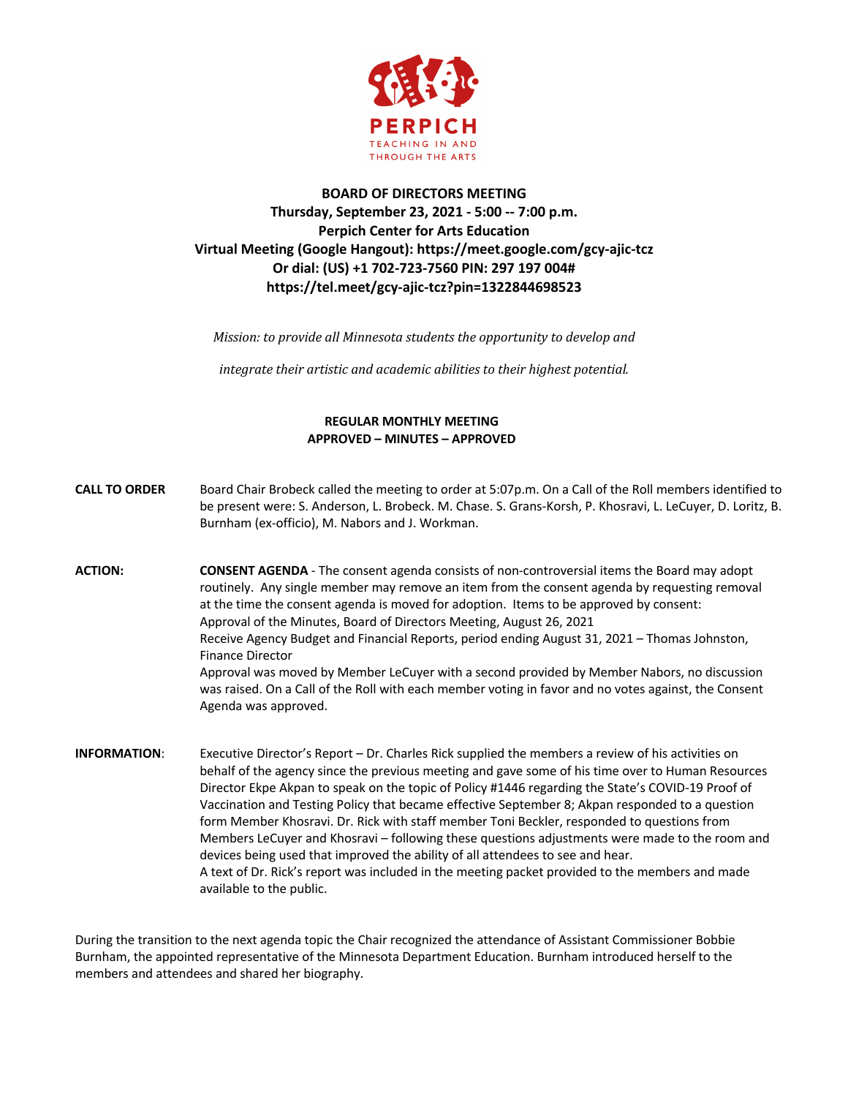

## **BOARD OF DIRECTORS MEETING Thursday, September 23, 2021 - 5:00 -- 7:00 p.m. Perpich Center for Arts Education Virtual Meeting (Google Hangout): https://meet.google.com/gcy-ajic-tcz Or dial: (US) +1 702-723-7560 PIN: 297 197 004# https://tel.meet/gcy-ajic-tcz?pin=1322844698523**

*Mission:* to provide all Minnesota students the opportunity to develop and

*integrate their artistic and academic abilities to their highest potential.* 

## **REGULAR MONTHLY MEETING APPROVED – MINUTES – APPROVED**

| <b>CALL TO ORDER</b> | Board Chair Brobeck called the meeting to order at 5:07p.m. On a Call of the Roll members identified to<br>be present were: S. Anderson, L. Brobeck. M. Chase. S. Grans-Korsh, P. Khosravi, L. LeCuyer, D. Loritz, B.<br>Burnham (ex-officio), M. Nabors and J. Workman.                                                                                                                                                                                                                                                                                                                                                                                                                                                         |
|----------------------|----------------------------------------------------------------------------------------------------------------------------------------------------------------------------------------------------------------------------------------------------------------------------------------------------------------------------------------------------------------------------------------------------------------------------------------------------------------------------------------------------------------------------------------------------------------------------------------------------------------------------------------------------------------------------------------------------------------------------------|
| ACTION:              | <b>CONSENT AGENDA</b> - The consent agenda consists of non-controversial items the Board may adopt<br>routinely. Any single member may remove an item from the consent agenda by requesting removal<br>at the time the consent agenda is moved for adoption. Items to be approved by consent:<br>Approval of the Minutes, Board of Directors Meeting, August 26, 2021<br>Receive Agency Budget and Financial Reports, period ending August 31, 2021 – Thomas Johnston,<br><b>Finance Director</b><br>Approval was moved by Member LeCuyer with a second provided by Member Nabors, no discussion<br>was raised. On a Call of the Roll with each member voting in favor and no votes against, the Consent<br>Agenda was approved. |
| <b>INFORMATION:</b>  | Executive Director's Report – Dr. Charles Rick supplied the members a review of his activities on<br>behalf of the agency since the previous meeting and gave some of his time over to Human Resources<br>Director Ekpe Akpan to speak on the topic of Policy #1446 regarding the State's COVID-19 Proof of                                                                                                                                                                                                                                                                                                                                                                                                                      |

Director Ekpe Akpan to speak on the topic of Policy #1446 regarding the State's COVID-19 Proof of Vaccination and Testing Policy that became effective September 8; Akpan responded to a question form Member Khosravi. Dr. Rick with staff member Toni Beckler, responded to questions from Members LeCuyer and Khosravi – following these questions adjustments were made to the room and devices being used that improved the ability of all attendees to see and hear. A text of Dr. Rick's report was included in the meeting packet provided to the members and made available to the public.

During the transition to the next agenda topic the Chair recognized the attendance of Assistant Commissioner Bobbie Burnham, the appointed representative of the Minnesota Department Education. Burnham introduced herself to the members and attendees and shared her biography.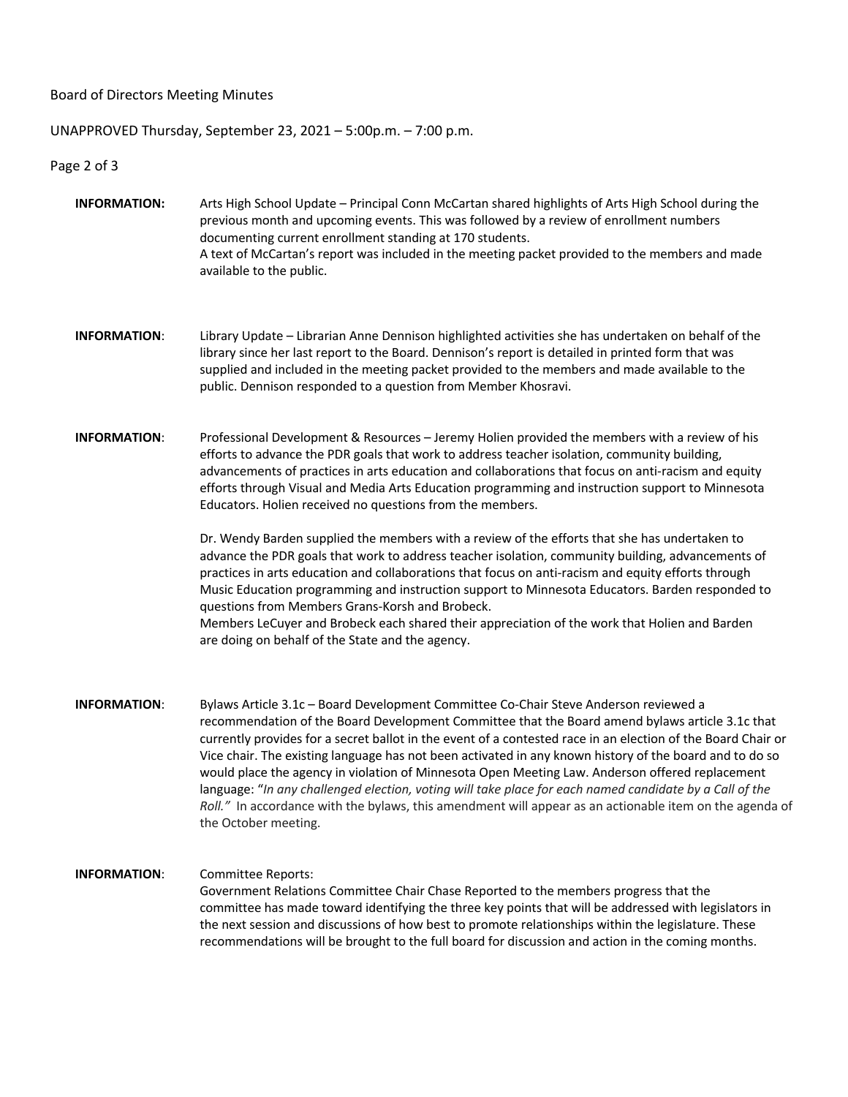Board of Directors Meeting Minutes

UNAPPROVED Thursday, September 23, 2021 – 5:00p.m. – 7:00 p.m.

Page 2 of 3

- **INFORMATION:** Arts High School Update Principal Conn McCartan shared highlights of Arts High School during the previous month and upcoming events. This was followed by a review of enrollment numbers documenting current enrollment standing at 170 students. A text of McCartan's report was included in the meeting packet provided to the members and made available to the public.
- **INFORMATION**: Library Update Librarian Anne Dennison highlighted activities she has undertaken on behalf of the library since her last report to the Board. Dennison's report is detailed in printed form that was supplied and included in the meeting packet provided to the members and made available to the public. Dennison responded to a question from Member Khosravi.
- **INFORMATION**: Professional Development & Resources Jeremy Holien provided the members with a review of his efforts to advance the PDR goals that work to address teacher isolation, community building, advancements of practices in arts education and collaborations that focus on anti-racism and equity efforts through Visual and Media Arts Education programming and instruction support to Minnesota Educators. Holien received no questions from the members.

Dr. Wendy Barden supplied the members with a review of the efforts that she has undertaken to advance the PDR goals that work to address teacher isolation, community building, advancements of practices in arts education and collaborations that focus on anti-racism and equity efforts through Music Education programming and instruction support to Minnesota Educators. Barden responded to questions from Members Grans-Korsh and Brobeck.

Members LeCuyer and Brobeck each shared their appreciation of the work that Holien and Barden are doing on behalf of the State and the agency.

**INFORMATION**: Bylaws Article 3.1c – Board Development Committee Co-Chair Steve Anderson reviewed a recommendation of the Board Development Committee that the Board amend bylaws article 3.1c that currently provides for a secret ballot in the event of a contested race in an election of the Board Chair or Vice chair. The existing language has not been activated in any known history of the board and to do so would place the agency in violation of Minnesota Open Meeting Law. Anderson offered replacement language: "*In any challenged election, voting will take place for each named candidate by a Call of the Roll."* In accordance with the bylaws, this amendment will appear as an actionable item on the agenda of the October meeting.

## **INFORMATION**: Committee Reports: Government Relations Committee Chair Chase Reported to the members progress that the committee has made toward identifying the three key points that will be addressed with legislators in the next session and discussions of how best to promote relationships within the legislature. These recommendations will be brought to the full board for discussion and action in the coming months.